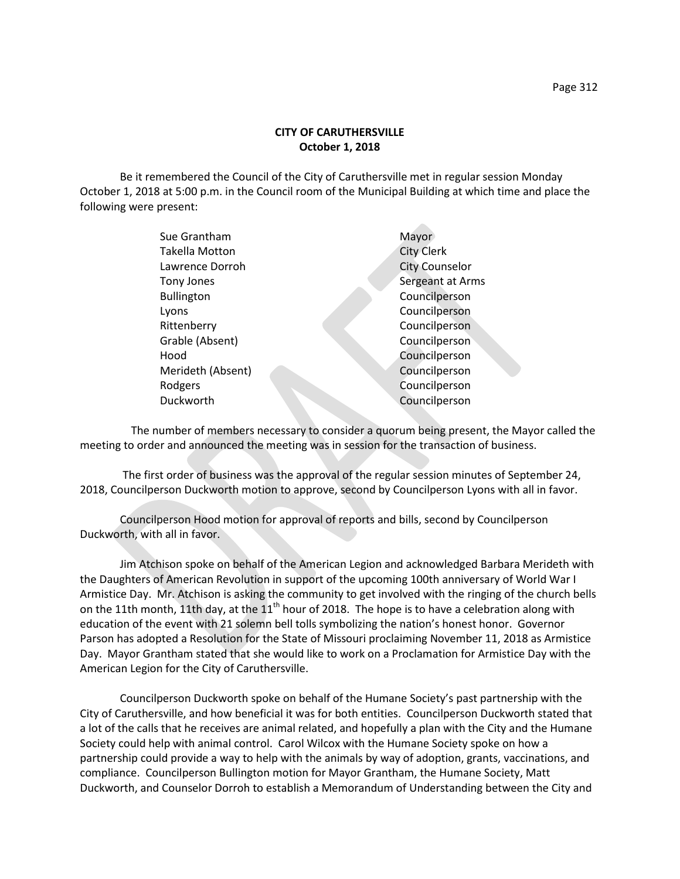## **CITY OF CARUTHERSVILLE October 1, 2018**

Be it remembered the Council of the City of Caruthersville met in regular session Monday October 1, 2018 at 5:00 p.m. in the Council room of the Municipal Building at which time and place the following were present:

| Sue Grantham      | Mayor                 |
|-------------------|-----------------------|
| Takella Motton    | <b>City Clerk</b>     |
| Lawrence Dorroh   | <b>City Counselor</b> |
| Tony Jones        | Sergeant at Arms      |
| <b>Bullington</b> | Councilperson         |
| Lyons             | Councilperson         |
| Rittenberry       | Councilperson         |
| Grable (Absent)   | Councilperson         |
| Hood              | Councilperson         |
| Merideth (Absent) | Councilperson         |
| Rodgers           | Councilperson         |
| Duckworth         | Councilperson         |
|                   |                       |

 The number of members necessary to consider a quorum being present, the Mayor called the meeting to order and announced the meeting was in session for the transaction of business.

The first order of business was the approval of the regular session minutes of September 24, 2018, Councilperson Duckworth motion to approve, second by Councilperson Lyons with all in favor.

Councilperson Hood motion for approval of reports and bills, second by Councilperson Duckworth, with all in favor.

Jim Atchison spoke on behalf of the American Legion and acknowledged Barbara Merideth with the Daughters of American Revolution in support of the upcoming 100th anniversary of World War I Armistice Day. Mr. Atchison is asking the community to get involved with the ringing of the church bells on the 11th month, 11th day, at the  $11<sup>th</sup>$  hour of 2018. The hope is to have a celebration along with education of the event with 21 solemn bell tolls symbolizing the nation's honest honor. Governor Parson has adopted a Resolution for the State of Missouri proclaiming November 11, 2018 as Armistice Day. Mayor Grantham stated that she would like to work on a Proclamation for Armistice Day with the American Legion for the City of Caruthersville.

Councilperson Duckworth spoke on behalf of the Humane Society's past partnership with the City of Caruthersville, and how beneficial it was for both entities. Councilperson Duckworth stated that a lot of the calls that he receives are animal related, and hopefully a plan with the City and the Humane Society could help with animal control. Carol Wilcox with the Humane Society spoke on how a partnership could provide a way to help with the animals by way of adoption, grants, vaccinations, and compliance. Councilperson Bullington motion for Mayor Grantham, the Humane Society, Matt Duckworth, and Counselor Dorroh to establish a Memorandum of Understanding between the City and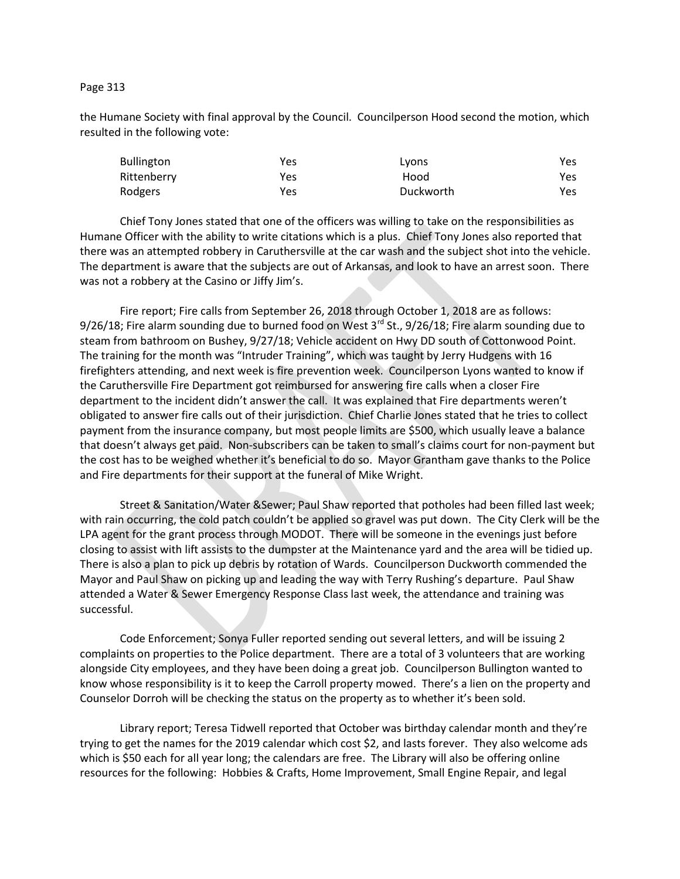## Page 313

the Humane Society with final approval by the Council. Councilperson Hood second the motion, which resulted in the following vote:

| <b>Bullington</b> | Yes | Lyons     | Yes. |
|-------------------|-----|-----------|------|
| Rittenberry       | Yes | Hood      | Yes. |
| Rodgers           | Yes | Duckworth | Yes. |

Chief Tony Jones stated that one of the officers was willing to take on the responsibilities as Humane Officer with the ability to write citations which is a plus. Chief Tony Jones also reported that there was an attempted robbery in Caruthersville at the car wash and the subject shot into the vehicle. The department is aware that the subjects are out of Arkansas, and look to have an arrest soon. There was not a robbery at the Casino or Jiffy Jim's.

Fire report; Fire calls from September 26, 2018 through October 1, 2018 are as follows: 9/26/18; Fire alarm sounding due to burned food on West 3<sup>rd</sup> St., 9/26/18; Fire alarm sounding due to steam from bathroom on Bushey, 9/27/18; Vehicle accident on Hwy DD south of Cottonwood Point. The training for the month was "Intruder Training", which was taught by Jerry Hudgens with 16 firefighters attending, and next week is fire prevention week. Councilperson Lyons wanted to know if the Caruthersville Fire Department got reimbursed for answering fire calls when a closer Fire department to the incident didn't answer the call. It was explained that Fire departments weren't obligated to answer fire calls out of their jurisdiction. Chief Charlie Jones stated that he tries to collect payment from the insurance company, but most people limits are \$500, which usually leave a balance that doesn't always get paid. Non-subscribers can be taken to small's claims court for non-payment but the cost has to be weighed whether it's beneficial to do so. Mayor Grantham gave thanks to the Police and Fire departments for their support at the funeral of Mike Wright.

Street & Sanitation/Water &Sewer; Paul Shaw reported that potholes had been filled last week; with rain occurring, the cold patch couldn't be applied so gravel was put down. The City Clerk will be the LPA agent for the grant process through MODOT. There will be someone in the evenings just before closing to assist with lift assists to the dumpster at the Maintenance yard and the area will be tidied up. There is also a plan to pick up debris by rotation of Wards. Councilperson Duckworth commended the Mayor and Paul Shaw on picking up and leading the way with Terry Rushing's departure. Paul Shaw attended a Water & Sewer Emergency Response Class last week, the attendance and training was successful.

Code Enforcement; Sonya Fuller reported sending out several letters, and will be issuing 2 complaints on properties to the Police department. There are a total of 3 volunteers that are working alongside City employees, and they have been doing a great job. Councilperson Bullington wanted to know whose responsibility is it to keep the Carroll property mowed. There's a lien on the property and Counselor Dorroh will be checking the status on the property as to whether it's been sold.

Library report; Teresa Tidwell reported that October was birthday calendar month and they're trying to get the names for the 2019 calendar which cost \$2, and lasts forever. They also welcome ads which is \$50 each for all year long; the calendars are free. The Library will also be offering online resources for the following: Hobbies & Crafts, Home Improvement, Small Engine Repair, and legal